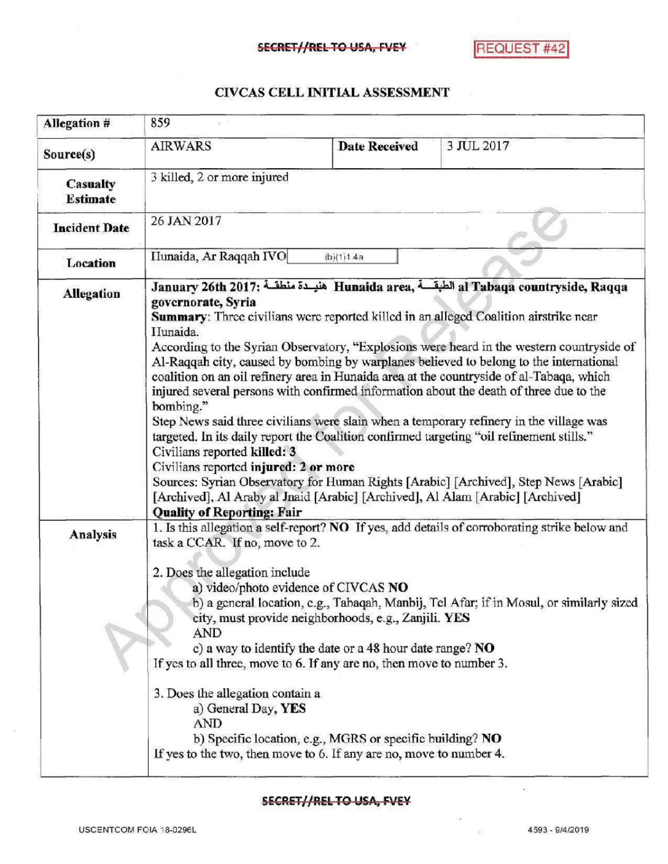## CIVCAS CELL INITIAL ASSESSMENT

| <b>Allegation #</b>                | 859                                                                                                                                                                                                                                                                                                                                                                                                                                                                                                                                                                                                                                                                                                                                                                                                                                                                                                                                                                                                                                                                                     |                      |            |  |
|------------------------------------|-----------------------------------------------------------------------------------------------------------------------------------------------------------------------------------------------------------------------------------------------------------------------------------------------------------------------------------------------------------------------------------------------------------------------------------------------------------------------------------------------------------------------------------------------------------------------------------------------------------------------------------------------------------------------------------------------------------------------------------------------------------------------------------------------------------------------------------------------------------------------------------------------------------------------------------------------------------------------------------------------------------------------------------------------------------------------------------------|----------------------|------------|--|
| Source(s)                          | <b>AIRWARS</b>                                                                                                                                                                                                                                                                                                                                                                                                                                                                                                                                                                                                                                                                                                                                                                                                                                                                                                                                                                                                                                                                          | <b>Date Received</b> | 3 JUL 2017 |  |
| <b>Casualty</b><br><b>Estimate</b> | 3 killed, 2 or more injured                                                                                                                                                                                                                                                                                                                                                                                                                                                                                                                                                                                                                                                                                                                                                                                                                                                                                                                                                                                                                                                             |                      |            |  |
| <b>Incident Date</b>               | 26 JAN 2017                                                                                                                                                                                                                                                                                                                                                                                                                                                                                                                                                                                                                                                                                                                                                                                                                                                                                                                                                                                                                                                                             |                      |            |  |
| Location                           | Hunaida, Ar Raqqah IVO<br>(b)(1)1.4a                                                                                                                                                                                                                                                                                                                                                                                                                                                                                                                                                                                                                                                                                                                                                                                                                                                                                                                                                                                                                                                    |                      |            |  |
| <b>Allegation</b>                  | January 26th 2017: هنيـدة منطقـة Hunaida area, الطبقــة al Tabaqa countryside, Raqqa<br>governorate, Syria<br>Summary: Three civilians were reported killed in an alleged Coalition airstrike near<br>IIunaida.<br>According to the Syrian Observatory, "Explosions were heard in the western countryside of<br>Al-Raqqah city, caused by bombing by warplanes believed to belong to the international<br>coalition on an oil refinery area in Hunaida area at the countryside of al-Tabaqa, which<br>injured several persons with confirmed information about the death of three due to the<br>bombing."<br>Step News said three civilians were slain when a temporary refinery in the village was<br>targeted. In its daily report the Coalition confirmed targeting "oil refinement stills."<br>Civilians reported killed: 3<br>Civilians reported injured: 2 or more<br>Sources: Syrian Observatory for Human Rights [Arabic] [Archived], Step News [Arabic]<br>[Archived], Al Araby al Jnaid [Arabic] [Archived], Al Alam [Arabic] [Archived]<br><b>Quality of Reporting: Fair</b> |                      |            |  |
| Analysis                           | 1. Is this allegation a self-report? NO If yes, add details of corroborating strike below and<br>task a CCAR. If no, move to 2.<br>2. Does the allegation include<br>a) video/photo evidence of CIVCAS NO<br>b) a general location, e.g., Tabaqah, Manbij, Tel Afar; if in Mosul, or similarly sized<br>city, must provide neighborhoods, e.g., Zanjili. YES<br>AND<br>c) a way to identify the date or a 48 hour date range? $NO$<br>If yes to all three, move to 6. If any are no, then move to number 3.<br>3. Does the allegation contain a<br>a) General Day, YES<br><b>AND</b><br>b) Specific location, e.g., MGRS or specific building? NO<br>If yes to the two, then move to 6. If any are no, move to number 4.                                                                                                                                                                                                                                                                                                                                                                |                      |            |  |

## SECRET//REL TO USA, FVEY

 $\overline{\mathbf{r}}$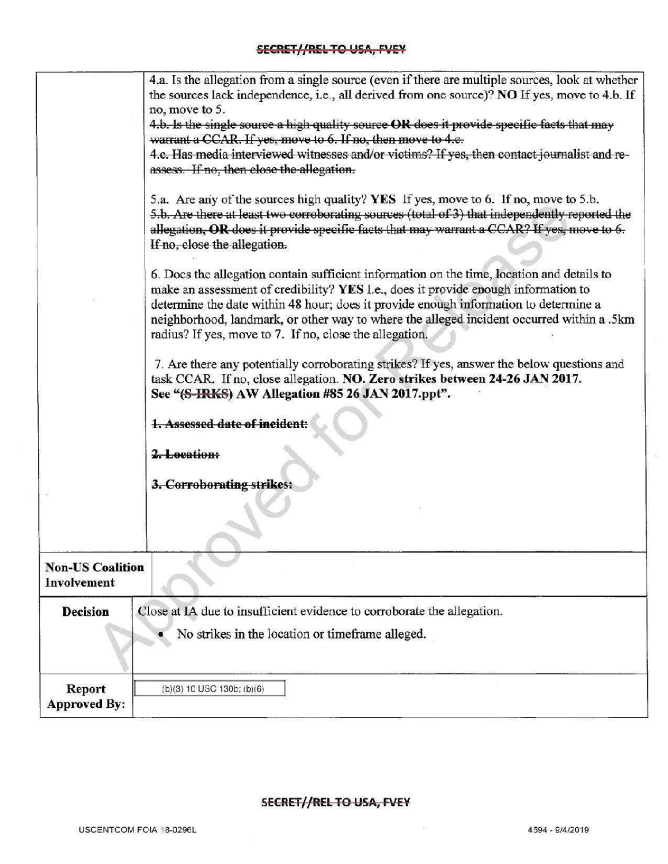|                                        | 4.a. Is the allegation from a single source (even if there are multiple sources, look at whether<br>the sources lack independence, i.e., all derived from one source)? NO If yes, move to 4.b. If<br>no, move to 5.<br>4.b. Is the single source a high quality source OR does it provide specific facts that may<br>warrant a CCAR. If yes, move to 6. If no, then move to 4.e.<br>4.c. Has media interviewed witnesses and/or victims? If yes, then contact journalist and re-<br>assess. If no, then close the allegation.<br>5.a. Are any of the sources high quality? YES If yes, move to 6. If no, move to 5.b.<br>5.b. Are there at least two corroborating sources (total of 3) that independently reported the<br>allegation, OR does it provide specific facts that may warrant a CCAR? If yes, move to 6.<br>If no, close the allegation. |
|----------------------------------------|------------------------------------------------------------------------------------------------------------------------------------------------------------------------------------------------------------------------------------------------------------------------------------------------------------------------------------------------------------------------------------------------------------------------------------------------------------------------------------------------------------------------------------------------------------------------------------------------------------------------------------------------------------------------------------------------------------------------------------------------------------------------------------------------------------------------------------------------------|
|                                        | 6. Does the allegation contain sufficient information on the time, location and details to<br>make an assessment of credibility? YES I.e., does it provide enough information to<br>determine the date within 48 hour; does it provide enough information to determine a<br>neighborhood, landmark, or other way to where the alleged incident occurred within a .5km<br>radius? If yes, move to 7. If no, close the allegation.                                                                                                                                                                                                                                                                                                                                                                                                                     |
|                                        | 7. Are there any potentially corroborating strikes? If yes, answer the below questions and<br>task CCAR. If no, close allegation. NO. Zero strikes between 24-26 JAN 2017.<br>See "(S-IRKS) AW Allegation #85 26 JAN 2017.ppt".                                                                                                                                                                                                                                                                                                                                                                                                                                                                                                                                                                                                                      |
|                                        | 1. Assessed date of incident:                                                                                                                                                                                                                                                                                                                                                                                                                                                                                                                                                                                                                                                                                                                                                                                                                        |
|                                        | 2. Location:                                                                                                                                                                                                                                                                                                                                                                                                                                                                                                                                                                                                                                                                                                                                                                                                                                         |
|                                        | 3. Corroborating strikes:                                                                                                                                                                                                                                                                                                                                                                                                                                                                                                                                                                                                                                                                                                                                                                                                                            |
| <b>Non-US Coalition</b><br>Involvement |                                                                                                                                                                                                                                                                                                                                                                                                                                                                                                                                                                                                                                                                                                                                                                                                                                                      |
| <b>Decision</b>                        | Close at IA due to insufficient evidence to corroborate the allegation.<br>No strikes in the location or timeframe alleged.                                                                                                                                                                                                                                                                                                                                                                                                                                                                                                                                                                                                                                                                                                                          |
| Report<br><b>Approved By:</b>          | (b)(3) 10 USC 130b; (b)(6)                                                                                                                                                                                                                                                                                                                                                                                                                                                                                                                                                                                                                                                                                                                                                                                                                           |

## SECRET//REL TO USA, FVEY

 $\mathcal{L}$